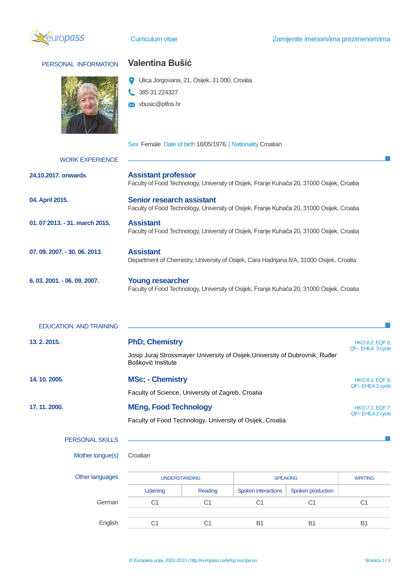

Curriculum vitae Zamijenite imenom/ima prezimenom/ima

## PERSONAL INFORMATION **Valentina Bušić**



- Ulica Jorgovana, 21, Osijek, 31 000, Croatia.
- **L** 385 31 224327
- $\times$  vbusic@ptfos.hr

Sex Female Date of birth 18/05/1976. | Nationality Croatian

| <b>WORK EXPERIENCE</b>        |                                                                                                                         |  |
|-------------------------------|-------------------------------------------------------------------------------------------------------------------------|--|
| 24.10.2017. onwards           | <b>Assistant professor</b><br>Faculty of Food Technology, University of Osijek, Franje Kuhača 20, 31000 Osijek, Croatia |  |
| 04. April 2015.               | Senior research assistant<br>Faculty of Food Technology, University of Osijek, Franje Kuhača 20, 31000 Osijek, Croatia  |  |
| 01.07 2013. - 31. march 2015. | <b>Assistant</b><br>Faculty of Food Technology, University of Osijek, Franje Kuhača 20, 31000 Osijek, Croatia           |  |
| 07, 09, 2007, -30, 06, 2013,  | <b>Assistant</b><br>Department of Chemistry, University of Osijek, Cara Hadrijana 8/A, 31000 Osijek, Croatia            |  |
| 6, 03, 2001, - 06, 09, 2007,  | <b>Young researcher</b><br>Faculty of Food Technology, University of Osijek, Franje Kuhača 20, 31000 Osijek, Croatia    |  |

| <b>EDUCATION AND TRAINING</b> |                                                                                                    |         |                     |                   |                                          |
|-------------------------------|----------------------------------------------------------------------------------------------------|---------|---------------------|-------------------|------------------------------------------|
| 13. 2. 2015.                  | <b>PhD; Chemistry</b>                                                                              |         |                     |                   | <b>HKO 8.2; EQF 8;</b>                   |
|                               | Josip Juraj Strossmayer University of Osijek, University of Dubrovnik, Ruđer<br>Bošković Institute |         |                     |                   | QF-EHEA 3 cycle                          |
| 14, 10, 2005.                 | <b>MSc; - Chemistry</b>                                                                            |         |                     |                   | <b>HKO 8.1; EQF 8;</b>                   |
|                               | Faculty of Science, University of Zagreb, Croatia                                                  |         |                     |                   | QF-EHEA 2 cycle                          |
| 17, 11, 2000.                 | <b>MEng, Food Technology</b>                                                                       |         |                     |                   | <b>HKO 7.1; EQF 7;</b><br>QF-EHEA2 cycle |
|                               | Faculty of Food Technology, University of Osijek, Croatia                                          |         |                     |                   |                                          |
| <b>PERSONAL SKILLS</b>        |                                                                                                    |         |                     |                   |                                          |
| Mother tongue(s)              | Croatian                                                                                           |         |                     |                   |                                          |
| Other languages               | <b>UNDERSTANDING</b><br><b>SPEAKING</b>                                                            |         |                     | <b>WRITING</b>    |                                          |
|                               | Listening                                                                                          | Reading | Spoken interactions | Spoken production |                                          |

| German  |    | l 11 |    | $\overline{\phantom{a}}$ | ◡  |
|---------|----|------|----|--------------------------|----|
|         |    |      |    |                          |    |
| English | ∷1 | ∷1   | R' | $\mathbb{R}^n$           | B' |
|         |    |      |    |                          |    |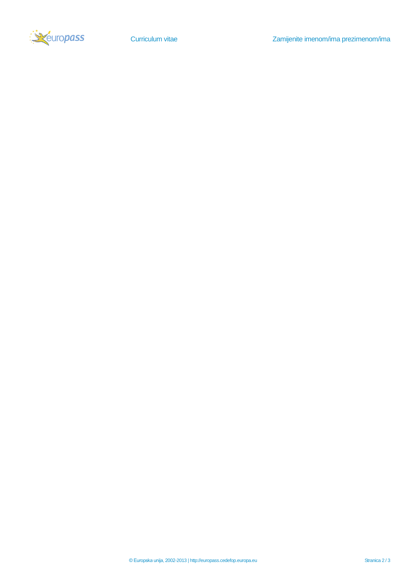